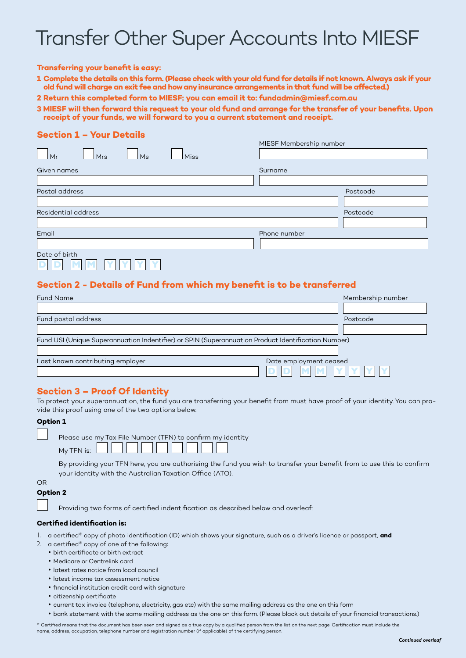# Transfer Other Super Accounts Into MIESF

#### **Transferring your benefit is easy:**

- **1 Complete the details on this form. (Please check with your old fund for details if not known. Always ask if your old fund will charge an exit fee and how any insurance arrangements in that fund will be affected.)**
- **2 Return this completed form to MIESF; you can email it to: fundadmin@miesf.com.au**
- **3 MIESF will then forward this request to your old fund and arrange for the transfer of your benefits. Upon receipt of your funds, we will forward to you a current statement and receipt.**

## **Section 1 – Your Details**

|                                | MIESF Membership number |
|--------------------------------|-------------------------|
| Mr<br><b>Mrs</b><br>Miss<br>Ms |                         |
| Given names                    | Surname                 |
|                                |                         |
| Postal address                 | Postcode                |
|                                |                         |
| Residential address            | Postcode                |
|                                |                         |
| Email                          | Phone number            |
|                                |                         |
| Date of birth                  |                         |

## **Section 2 - Details of Fund from which my benefit is to be transferred**

| <b>Fund Name</b>                                                                                    | Membership number |  |
|-----------------------------------------------------------------------------------------------------|-------------------|--|
|                                                                                                     |                   |  |
| Fund postal address                                                                                 | Postcode          |  |
|                                                                                                     |                   |  |
| Fund USI (Unique Superannuation Indentifier) or SPIN (Superannuation Product Identification Number) |                   |  |
|                                                                                                     |                   |  |
| Last known contributing employer<br>Date employment ceased                                          |                   |  |
| D                                                                                                   |                   |  |

## **Section 3 – Proof Of Identity**

To protect your superannuation, the fund you are transferring your benefit from must have proof of your identity. You can provide this proof using one of the two options below.

## **Option 1**

| Please use my Tax File Number (TFN) to confirm my identity |
|------------------------------------------------------------|
|                                                            |

By providing your TFN here, you are authorising the fund you wish to transfer your benefit from to use this to confirm your identity with the Australian Taxation Office (ATO).

# OR

## **Option 2**

Providing two forms of certified indentification as described below and overleaf:

#### **Certified identification is:**

1. a certified\* copy of photo identification (ID) which shows your signature, such as a driver's licence or passport, **and**

- 2. a certified\* copy of one of the following:
	- birth certificate or birth extract
	- Medicare or Centrelink card
	- latest rates notice from local council
	- latest income tax assessment notice
	- financial institution credit card with signature
	- citizenship certificate
	- current tax invoice (telephone, electricity, gas etc) with the same mailing address as the one on this form
	- bank statement with the same mailing address as the one on this form. (Please black out details of your financial transactions.)

\* Certified means that the document has been seen and signed as a true copy by a qualified person from the list on the next page. Certification must include the name, address, occupation, telephone number and registration number (if applicable) of the certifying person.